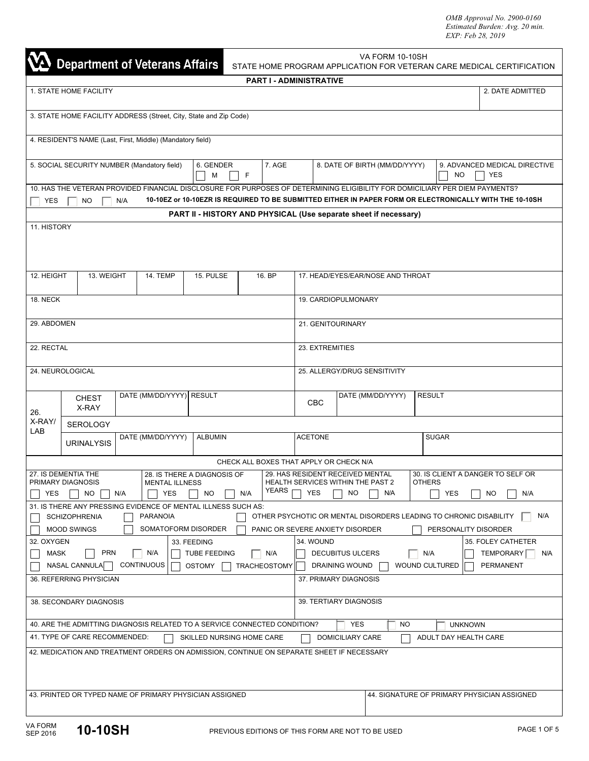*OMB Approval No. 2900-0160 Estimated Burden: Avg. 20 min. EXP: Feb 28, 2019*

| <b>Department of Veterans Affairs</b>                                                                                                                                                                                                                                                                                                                    |                       |                                                                   |                |           | VA FORM 10-10SH<br>STATE HOME PROGRAM APPLICATION FOR VETERAN CARE MEDICAL CERTIFICATION |                                                                                       |                                                             |                               |                                                                  |     |                                             |                      |
|----------------------------------------------------------------------------------------------------------------------------------------------------------------------------------------------------------------------------------------------------------------------------------------------------------------------------------------------------------|-----------------------|-------------------------------------------------------------------|----------------|-----------|------------------------------------------------------------------------------------------|---------------------------------------------------------------------------------------|-------------------------------------------------------------|-------------------------------|------------------------------------------------------------------|-----|---------------------------------------------|----------------------|
| <b>PART I - ADMINISTRATIVE</b>                                                                                                                                                                                                                                                                                                                           |                       |                                                                   |                |           |                                                                                          |                                                                                       |                                                             |                               |                                                                  |     |                                             |                      |
| 1. STATE HOME FACILITY                                                                                                                                                                                                                                                                                                                                   |                       |                                                                   |                |           |                                                                                          |                                                                                       |                                                             |                               |                                                                  |     | 2. DATE ADMITTED                            |                      |
|                                                                                                                                                                                                                                                                                                                                                          |                       | 3. STATE HOME FACILITY ADDRESS (Street, City, State and Zip Code) |                |           |                                                                                          |                                                                                       |                                                             |                               |                                                                  |     |                                             |                      |
|                                                                                                                                                                                                                                                                                                                                                          |                       | 4. RESIDENT'S NAME (Last, First, Middle) (Mandatory field)        |                |           |                                                                                          |                                                                                       |                                                             |                               |                                                                  |     |                                             |                      |
| 7. AGE<br>5. SOCIAL SECURITY NUMBER (Mandatory field)<br>6. GENDER<br>F<br>М                                                                                                                                                                                                                                                                             |                       |                                                                   |                |           |                                                                                          |                                                                                       |                                                             | 8. DATE OF BIRTH (MM/DD/YYYY) |                                                                  | NO. | 9. ADVANCED MEDICAL DIRECTIVE<br><b>YES</b> |                      |
| 10. HAS THE VETERAN PROVIDED FINANCIAL DISCLOSURE FOR PURPOSES OF DETERMINING ELIGIBILITY FOR DOMICILIARY PER DIEM PAYMENTS?<br>10-10EZ or 10-10EZR IS REQUIRED TO BE SUBMITTED EITHER IN PAPER FORM OR ELECTRONICALLY WITH THE 10-10SH<br><b>YES</b><br>NO.<br>N/A                                                                                      |                       |                                                                   |                |           |                                                                                          |                                                                                       |                                                             |                               |                                                                  |     |                                             |                      |
|                                                                                                                                                                                                                                                                                                                                                          |                       |                                                                   |                |           |                                                                                          |                                                                                       |                                                             |                               | PART II - HISTORY AND PHYSICAL (Use separate sheet if necessary) |     |                                             |                      |
| 11. HISTORY                                                                                                                                                                                                                                                                                                                                              |                       |                                                                   |                |           |                                                                                          |                                                                                       |                                                             |                               |                                                                  |     |                                             |                      |
|                                                                                                                                                                                                                                                                                                                                                          |                       |                                                                   |                |           |                                                                                          |                                                                                       |                                                             |                               |                                                                  |     |                                             |                      |
| 12. HEIGHT                                                                                                                                                                                                                                                                                                                                               | 13. WEIGHT            | 14. TEMP                                                          |                | 15. PULSE |                                                                                          | 16. BP                                                                                |                                                             |                               | 17. HEAD/EYES/EAR/NOSE AND THROAT                                |     |                                             |                      |
| 18. NECK                                                                                                                                                                                                                                                                                                                                                 |                       |                                                                   |                |           |                                                                                          |                                                                                       | 19. CARDIOPULMONARY                                         |                               |                                                                  |     |                                             |                      |
| 29. ABDOMEN                                                                                                                                                                                                                                                                                                                                              |                       |                                                                   |                |           |                                                                                          |                                                                                       | 21. GENITOURINARY                                           |                               |                                                                  |     |                                             |                      |
| 22. RECTAL                                                                                                                                                                                                                                                                                                                                               |                       |                                                                   |                |           |                                                                                          |                                                                                       | 23. EXTREMITIES                                             |                               |                                                                  |     |                                             |                      |
|                                                                                                                                                                                                                                                                                                                                                          | 24. NEUROLOGICAL      |                                                                   |                |           |                                                                                          |                                                                                       | 25. ALLERGY/DRUG SENSITIVITY                                |                               |                                                                  |     |                                             |                      |
|                                                                                                                                                                                                                                                                                                                                                          | <b>CHEST</b><br>X-RAY | DATE (MM/DD/YYYY) RESULT                                          |                |           |                                                                                          |                                                                                       | DATE (MM/DD/YYYY)<br><b>RESULT</b><br>CBC                   |                               |                                                                  |     |                                             |                      |
| 26.<br>X-RAY/                                                                                                                                                                                                                                                                                                                                            | <b>SEROLOGY</b>       |                                                                   |                |           |                                                                                          |                                                                                       |                                                             |                               |                                                                  |     |                                             |                      |
| LAB                                                                                                                                                                                                                                                                                                                                                      | <b>URINALYSIS</b>     | DATE (MM/DD/YYYY)                                                 | <b>ALBUMIN</b> |           |                                                                                          |                                                                                       | <b>ACETONE</b>                                              |                               |                                                                  |     | <b>SUGAR</b>                                |                      |
|                                                                                                                                                                                                                                                                                                                                                          |                       |                                                                   |                |           |                                                                                          |                                                                                       | CHECK ALL BOXES THAT APPLY OR CHECK N/A                     |                               |                                                                  |     |                                             |                      |
| 27. IS DEMENTIA THE<br>28. IS THERE A DIAGNOSIS OF<br>29. HAS RESIDENT RECEIVED MENTAL<br>30. IS CLIENT A DANGER TO SELF OR<br>HEALTH SERVICES WITHIN THE PAST 2<br>PRIMARY DIAGNOSIS<br><b>MENTAL ILLNESS</b><br><b>OTHERS</b><br><b>YEARS</b><br><b>YES</b><br><b>YES</b><br>N/A<br>NO.<br>N/A<br><b>YES</b><br>YES<br>NO.<br>N/A<br>NO.<br>N/A<br>NO. |                       |                                                                   |                |           |                                                                                          |                                                                                       |                                                             |                               |                                                                  |     |                                             |                      |
|                                                                                                                                                                                                                                                                                                                                                          |                       |                                                                   |                |           |                                                                                          |                                                                                       |                                                             |                               |                                                                  |     |                                             |                      |
| 31. IS THERE ANY PRESSING EVIDENCE OF MENTAL ILLNESS SUCH AS:<br>N/A<br><b>PARANOIA</b><br>OTHER PSYCHOTIC OR MENTAL DISORDERS LEADING TO CHRONIC DISABILITY<br><b>SCHIZOPHRENIA</b>                                                                                                                                                                     |                       |                                                                   |                |           |                                                                                          |                                                                                       |                                                             |                               |                                                                  |     |                                             |                      |
|                                                                                                                                                                                                                                                                                                                                                          | <b>MOOD SWINGS</b>    | SOMATOFORM DISORDER                                               |                |           |                                                                                          |                                                                                       | PANIC OR SEVERE ANXIETY DISORDER                            |                               |                                                                  |     |                                             | PERSONALITY DISORDER |
| 32. OXYGEN<br>33. FEEDING<br><b>PRN</b><br>N/A<br>MASK<br><b>TUBE FEEDING</b>                                                                                                                                                                                                                                                                            |                       |                                                                   |                |           | N/A                                                                                      | 34. WOUND<br>35. FOLEY CATHETER<br><b>DECUBITUS ULCERS</b><br>N/A<br>TEMPORARY<br>N/A |                                                             |                               |                                                                  |     |                                             |                      |
| CONTINUOUS<br>NASAL CANNULA<br><b>OSTOMY</b><br><b>TRACHEOSTOMY</b>                                                                                                                                                                                                                                                                                      |                       |                                                                   |                |           |                                                                                          |                                                                                       | <b>WOUND CULTURED</b><br><b>PERMANENT</b><br>DRAINING WOUND |                               |                                                                  |     |                                             |                      |
| 36. REFERRING PHYSICIAN                                                                                                                                                                                                                                                                                                                                  |                       |                                                                   |                |           | 37. PRIMARY DIAGNOSIS                                                                    |                                                                                       |                                                             |                               |                                                                  |     |                                             |                      |
| 38. SECONDARY DIAGNOSIS                                                                                                                                                                                                                                                                                                                                  |                       |                                                                   |                |           | 39. TERTIARY DIAGNOSIS                                                                   |                                                                                       |                                                             |                               |                                                                  |     |                                             |                      |
| 40. ARE THE ADMITTING DIAGNOSIS RELATED TO A SERVICE CONNECTED CONDITION?<br><b>YES</b><br>NO.<br><b>UNKNOWN</b>                                                                                                                                                                                                                                         |                       |                                                                   |                |           |                                                                                          |                                                                                       |                                                             |                               |                                                                  |     |                                             |                      |
| 41. TYPE OF CARE RECOMMENDED:<br>SKILLED NURSING HOME CARE<br>ADULT DAY HEALTH CARE<br>DOMICILIARY CARE                                                                                                                                                                                                                                                  |                       |                                                                   |                |           |                                                                                          |                                                                                       |                                                             |                               |                                                                  |     |                                             |                      |
| 42. MEDICATION AND TREATMENT ORDERS ON ADMISSION, CONTINUE ON SEPARATE SHEET IF NECESSARY                                                                                                                                                                                                                                                                |                       |                                                                   |                |           |                                                                                          |                                                                                       |                                                             |                               |                                                                  |     |                                             |                      |
| 43. PRINTED OR TYPED NAME OF PRIMARY PHYSICIAN ASSIGNED<br>44. SIGNATURE OF PRIMARY PHYSICIAN ASSIGNED                                                                                                                                                                                                                                                   |                       |                                                                   |                |           |                                                                                          |                                                                                       |                                                             |                               |                                                                  |     |                                             |                      |
| <b>VA FORM</b><br>10-10SH<br>PAGE 1 OF 5<br>PREVIOUS EDITIONS OF THIS FORM ARE NOT TO BE USED<br><b>SEP 2016</b>                                                                                                                                                                                                                                         |                       |                                                                   |                |           |                                                                                          |                                                                                       |                                                             |                               |                                                                  |     |                                             |                      |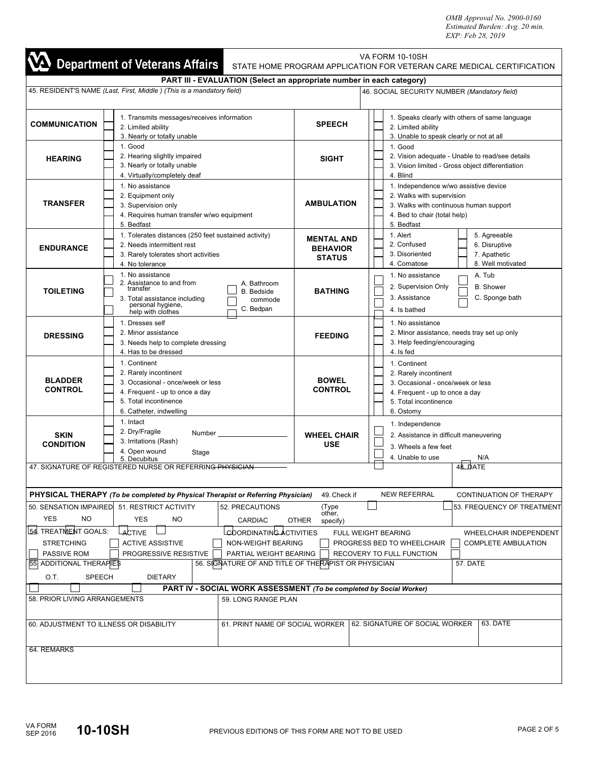*OMB Approval No. 2900-0160 Estimated Burden: Avg. 20 min. EXP: Feb 28, 2019*

|                                                                                                                                                                                                                                                                                                                                                                                                                                                            | <b>Department of Veterans Affairs</b>                                                                                                                                                            |                                                       | VA FORM 10-10SH<br>STATE HOME PROGRAM APPLICATION FOR VETERAN CARE MEDICAL CERTIFICATION                                                                   |  |  |
|------------------------------------------------------------------------------------------------------------------------------------------------------------------------------------------------------------------------------------------------------------------------------------------------------------------------------------------------------------------------------------------------------------------------------------------------------------|--------------------------------------------------------------------------------------------------------------------------------------------------------------------------------------------------|-------------------------------------------------------|------------------------------------------------------------------------------------------------------------------------------------------------------------|--|--|
|                                                                                                                                                                                                                                                                                                                                                                                                                                                            | PART III - EVALUATION (Select an appropriate number in each category)                                                                                                                            |                                                       |                                                                                                                                                            |  |  |
|                                                                                                                                                                                                                                                                                                                                                                                                                                                            | 45. RESIDENT'S NAME (Last, First, Middle) (This is a mandatory field)                                                                                                                            |                                                       | 46. SOCIAL SECURITY NUMBER (Mandatory field)                                                                                                               |  |  |
| <b>COMMUNICATION</b>                                                                                                                                                                                                                                                                                                                                                                                                                                       | 1. Transmits messages/receives information<br>2. Limited ability<br>3. Nearly or totally unable                                                                                                  | <b>SPEECH</b>                                         | 1. Speaks clearly with others of same language<br>2. Limited ability<br>3. Unable to speak clearly or not at all                                           |  |  |
| <b>HEARING</b>                                                                                                                                                                                                                                                                                                                                                                                                                                             | 1. Good<br>2. Hearing slightly impaired<br>3. Nearly or totally unable<br>4. Virtually/completely deaf                                                                                           | <b>SIGHT</b>                                          | 1. Good<br>2. Vision adequate - Unable to read/see details<br>3. Vision limited - Gross object differentiation<br>4. Blind                                 |  |  |
| <b>TRANSFER</b>                                                                                                                                                                                                                                                                                                                                                                                                                                            | 1. No assistance<br>2. Equipment only<br>3. Supervision only<br>4. Requires human transfer w/wo equipment<br>5. Bedfast                                                                          | <b>AMBULATION</b>                                     | 1. Independence w/wo assistive device<br>2. Walks with supervision<br>3. Walks with continuous human support<br>4. Bed to chair (total help)<br>5. Bedfast |  |  |
| <b>ENDURANCE</b>                                                                                                                                                                                                                                                                                                                                                                                                                                           | 1. Tolerates distances (250 feet sustained activity)<br>2. Needs intermittent rest<br>3. Rarely tolerates short activities<br>4. No tolerance                                                    | <b>MENTAL AND</b><br><b>BEHAVIOR</b><br><b>STATUS</b> | 1. Alert<br>5. Agreeable<br>2. Confused<br>6. Disruptive<br>3. Disoriented<br>7. Apathetic<br>4. Comatose<br>8. Well motivated                             |  |  |
| <b>TOILETING</b>                                                                                                                                                                                                                                                                                                                                                                                                                                           | 1. No assistance<br>2. Assistance to and from<br>A. Bathroom<br>transfer<br><b>B.</b> Bedside<br>3. Total assistance including<br>commode<br>personal hygiene,<br>C. Bedpan<br>help with clothes | <b>BATHING</b>                                        | 1. No assistance<br>A. Tub<br>2. Supervision Only<br><b>B.</b> Shower<br>3. Assistance<br>C. Sponge bath<br>4. Is bathed                                   |  |  |
| <b>DRESSING</b>                                                                                                                                                                                                                                                                                                                                                                                                                                            | 1. Dresses self<br>2. Minor assistance<br>3. Needs help to complete dressing<br>4. Has to be dressed                                                                                             | <b>FEEDING</b>                                        | 1. No assistance<br>2. Minor assistance, needs tray set up only<br>3. Help feeding/encouraging<br>4. Is fed                                                |  |  |
| <b>BLADDER</b><br><b>CONTROL</b>                                                                                                                                                                                                                                                                                                                                                                                                                           | 1. Continent<br>2. Rarely incontinent<br>3. Occasional - once/week or less<br>4. Frequent - up to once a day<br>5. Total incontinence<br>6. Catheter, indwelling                                 | <b>BOWEL</b><br><b>CONTROL</b>                        | 1. Continent<br>2. Rarely incontinent<br>3. Occasional - once/week or less<br>4. Frequent - up to once a day<br>5. Total incontinence<br>6. Ostomy         |  |  |
| <b>SKIN</b><br><b>CONDITION</b>                                                                                                                                                                                                                                                                                                                                                                                                                            | 1. Intact<br>2. Dry/Fragile<br>3. Irritations (Rash)<br>4. Open wound<br>Stage<br>5. Decubitus                                                                                                   | <b>WHEEL CHAIR</b><br><b>USE</b>                      | 1. Independence<br>2. Assistance in difficult maneuvering<br>3. Wheels a few feet<br>4. Unable to use<br>N/A                                               |  |  |
|                                                                                                                                                                                                                                                                                                                                                                                                                                                            | 47. SIGNATURE OF REGISTERED NURSE OR REFERRING PHYSICIAN                                                                                                                                         |                                                       | 48.DATE                                                                                                                                                    |  |  |
|                                                                                                                                                                                                                                                                                                                                                                                                                                                            | PHYSICAL THERAPY (To be completed by Physical Therapist or Referring Physician)                                                                                                                  | 49. Check if                                          | <b>NEW REFERRAL</b><br>CONTINUATION OF THERAPY                                                                                                             |  |  |
| 50. SENSATION IMPAIRED<br><b>YES</b><br><b>NO</b>                                                                                                                                                                                                                                                                                                                                                                                                          | 51. RESTRICT ACTIVITY<br>52. PRECAUTIONS<br><b>YES</b><br><b>NO</b><br>CARDIAC                                                                                                                   | (Type<br>other,<br><b>OTHER</b><br>specify)           | 53. FREQUENCY OF TREATMENT                                                                                                                                 |  |  |
| 54. TREATMENT GOALS:<br><b>A</b> CTIVE<br>LGOORDINATING ACTIVITIES<br>FULL WEIGHT BEARING<br>WHEELCHAIR INDEPENDENT<br><b>STRETCHING</b><br><b>ACTIVE ASSISTIVE</b><br>NON-WEIGHT BEARING<br>PROGRESS BED TO WHEELCHAIR<br><b>COMPLETE AMBULATION</b><br>PASSIVE ROM<br>PROGRESSIVE RESISTIVE<br>PARTIAL WEIGHT BEARING<br>RECOVERY TO FULL FUNCTION<br>55 ADDITIONAL THERAPIES<br>56. SIGNATURE OF AND TITLE OF THERAPIST OR PHYSICIAN<br><b>57. DATE</b> |                                                                                                                                                                                                  |                                                       |                                                                                                                                                            |  |  |
| O.T.<br><b>SPEECH</b>                                                                                                                                                                                                                                                                                                                                                                                                                                      | <b>DIETARY</b>                                                                                                                                                                                   |                                                       |                                                                                                                                                            |  |  |
| 58. PRIOR LIVING ARRANGEMENTS                                                                                                                                                                                                                                                                                                                                                                                                                              | PART IV - SOCIAL WORK ASSESSMENT (To be completed by Social Worker)<br>59. LONG RANGE PLAN                                                                                                       |                                                       |                                                                                                                                                            |  |  |
| 60. ADJUSTMENT TO ILLNESS OR DISABILITY                                                                                                                                                                                                                                                                                                                                                                                                                    | 61. PRINT NAME OF SOCIAL WORKER                                                                                                                                                                  |                                                       | 63. DATE<br>62. SIGNATURE OF SOCIAL WORKER                                                                                                                 |  |  |
| 64. REMARKS                                                                                                                                                                                                                                                                                                                                                                                                                                                |                                                                                                                                                                                                  |                                                       |                                                                                                                                                            |  |  |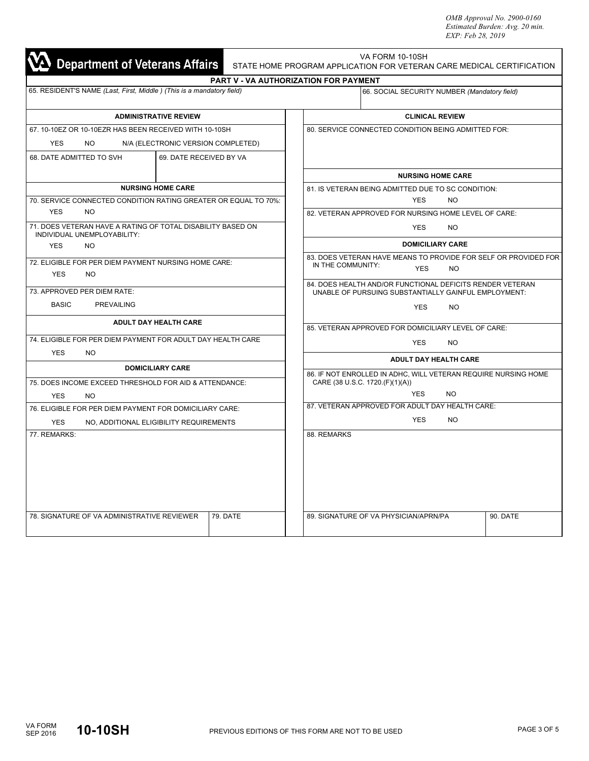*OMB Approval No. 2900-0160 Estimated Burden: Avg. 20 min. EXP: Feb 28, 2019*

| Department of Veterans Affairs                                                              | VA FORM 10-10SH<br>STATE HOME PROGRAM APPLICATION FOR VETERAN CARE MEDICAL CERTIFICATION                          |  |  |  |  |
|---------------------------------------------------------------------------------------------|-------------------------------------------------------------------------------------------------------------------|--|--|--|--|
| 65. RESIDENT'S NAME (Last, First, Middle) (This is a mandatory field)                       | <b>PART V - VA AUTHORIZATION FOR PAYMENT</b>                                                                      |  |  |  |  |
|                                                                                             | 66. SOCIAL SECURITY NUMBER (Mandatory field)                                                                      |  |  |  |  |
| <b>ADMINISTRATIVE REVIEW</b>                                                                | <b>CLINICAL REVIEW</b>                                                                                            |  |  |  |  |
| 67, 10-10EZ OR 10-10EZR HAS BEEN RECEIVED WITH 10-10SH                                      | 80. SERVICE CONNECTED CONDITION BEING ADMITTED FOR:                                                               |  |  |  |  |
| <b>YES</b><br>NO.<br>N/A (ELECTRONIC VERSION COMPLETED)                                     |                                                                                                                   |  |  |  |  |
| 68. DATE ADMITTED TO SVH<br>69. DATE RECEIVED BY VA                                         |                                                                                                                   |  |  |  |  |
|                                                                                             | <b>NURSING HOME CARE</b>                                                                                          |  |  |  |  |
| <b>NURSING HOME CARE</b><br>70. SERVICE CONNECTED CONDITION RATING GREATER OR EQUAL TO 70%: | 81. IS VETERAN BEING ADMITTED DUE TO SC CONDITION:                                                                |  |  |  |  |
| <b>YES</b><br>NO.                                                                           | <b>YES</b><br>NO.<br>82. VETERAN APPROVED FOR NURSING HOME LEVEL OF CARE:                                         |  |  |  |  |
| 71. DOES VETERAN HAVE A RATING OF TOTAL DISABILITY BASED ON                                 |                                                                                                                   |  |  |  |  |
| INDIVIDUAL UNEMPLOYABILITY:                                                                 | <b>YES</b><br>NO.                                                                                                 |  |  |  |  |
| <b>YES</b><br>NO.                                                                           | <b>DOMICILIARY CARE</b>                                                                                           |  |  |  |  |
| 72. ELIGIBLE FOR PER DIEM PAYMENT NURSING HOME CARE:                                        | 83. DOES VETERAN HAVE MEANS TO PROVIDE FOR SELF OR PROVIDED FOR<br>IN THE COMMUNITY:                              |  |  |  |  |
| <b>YES</b><br><b>NO</b>                                                                     | <b>YES</b><br><b>NO</b>                                                                                           |  |  |  |  |
| 73. APPROVED PER DIEM RATE:                                                                 | 84. DOES HEALTH AND/OR FUNCTIONAL DEFICITS RENDER VETERAN<br>UNABLE OF PURSUING SUBSTANTIALLY GAINFUL EMPLOYMENT: |  |  |  |  |
| <b>BASIC</b><br><b>PREVAILING</b>                                                           |                                                                                                                   |  |  |  |  |
|                                                                                             | <b>YES</b><br><b>NO</b>                                                                                           |  |  |  |  |
| <b>ADULT DAY HEALTH CARE</b>                                                                | 85. VETERAN APPROVED FOR DOMICILIARY LEVEL OF CARE:                                                               |  |  |  |  |
| 74. ELIGIBLE FOR PER DIEM PAYMENT FOR ADULT DAY HEALTH CARE                                 | <b>YES</b><br><b>NO</b>                                                                                           |  |  |  |  |
| <b>YES</b><br><b>NO</b>                                                                     |                                                                                                                   |  |  |  |  |
| <b>DOMICILIARY CARE</b>                                                                     | <b>ADULT DAY HEALTH CARE</b>                                                                                      |  |  |  |  |
| 75. DOES INCOME EXCEED THRESHOLD FOR AID & ATTENDANCE:                                      | 86. IF NOT ENROLLED IN ADHC, WILL VETERAN REQUIRE NURSING HOME<br>CARE (38 U.S.C. 1720.(F)(1)(A))                 |  |  |  |  |
| <b>YES</b><br><b>NO</b>                                                                     | <b>YES</b><br><b>NO</b>                                                                                           |  |  |  |  |
| 76. ELIGIBLE FOR PER DIEM PAYMENT FOR DOMICILIARY CARE:                                     | 87. VETERAN APPROVED FOR ADULT DAY HEALTH CARE:                                                                   |  |  |  |  |
| <b>YES</b><br>NO, ADDITIONAL ELIGIBILITY REQUIREMENTS                                       | <b>YES</b><br><b>NO</b>                                                                                           |  |  |  |  |
| 77. REMARKS:                                                                                | 88. REMARKS                                                                                                       |  |  |  |  |
|                                                                                             |                                                                                                                   |  |  |  |  |
| 78. SIGNATURE OF VA ADMINISTRATIVE REVIEWER<br>79. DATE                                     | 89. SIGNATURE OF VA PHYSICIAN/APRN/PA<br>90. DATE                                                                 |  |  |  |  |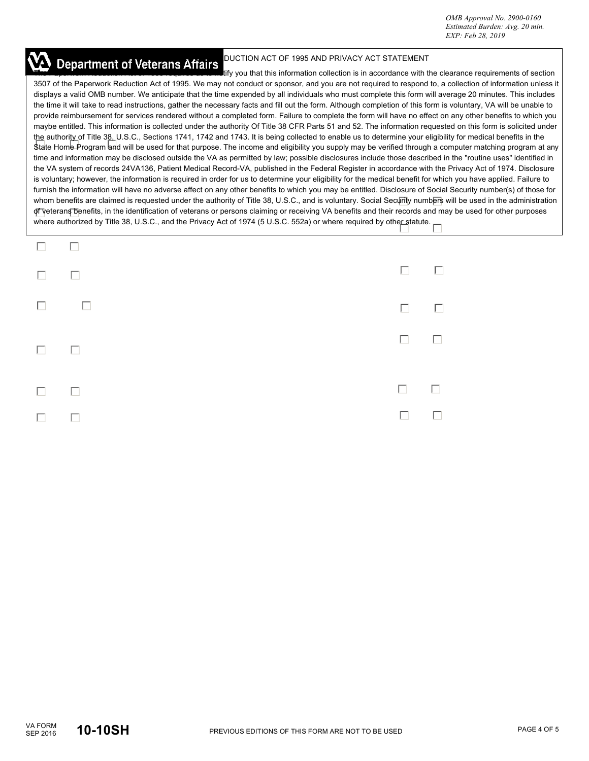## **Department of Veterans Affairs** DUCTION ACT OF 1995 AND PRIVACY ACT STATEMENT

tify you that this information collection is in accordance with the clearance requirements of section 3507 of the Paperwork Reduction Act of 1995. We may not conduct or sponsor, and you are not required to respond to, a collection of information unless it displays a valid OMB number. We anticipate that the time expended by all individuals who must complete this form will average 20 minutes. This includes the time it will take to read instructions, gather the necessary facts and fill out the form. Although completion of this form is voluntary, VA will be unable to provide reimbursement for services rendered without a completed form. Failure to complete the form will have no effect on any other benefits to which you maybe entitled. This information is collected under the authority Of Title 38 CFR Parts 51 and 52. The information requested on this form is solicited under the authority of Title 38, U.S.C., Sections 1741, 1742 and 1743. It is being collected to enable us to determine your eligibility for medical benefits in the State Home Program and will be used for that purpose. The income and eligibility you supply may be verified through a computer matching program at any time and information may be disclosed outside the VA as permitted by law; possible disclosures include those described in the "routine uses" identified in the VA system of records 24VA136, Patient Medical Record-VA, published in the Federal Register in accordance with the Privacy Act of 1974. Disclosure is voluntary; however, the information is required in order for us to determine your eligibility for the medical benefit for which you have applied. Failure to furnish the information will have no adverse affect on any other benefits to which you may be entitled. Disclosure of Social Security number(s) of those for whom benefits are claimed is requested under the authority of Title 38, U.S.C., and is voluntary. Social Security numbers will be used in the administration of veterans benefits, in the identification of veterans or persons claiming or receiving VA benefits and their records and may be used for other purposes where authorized by Title 38, U.S.C., and the Privacy Act of 1974 (5 U.S.C. 552a) or where required by other statute.

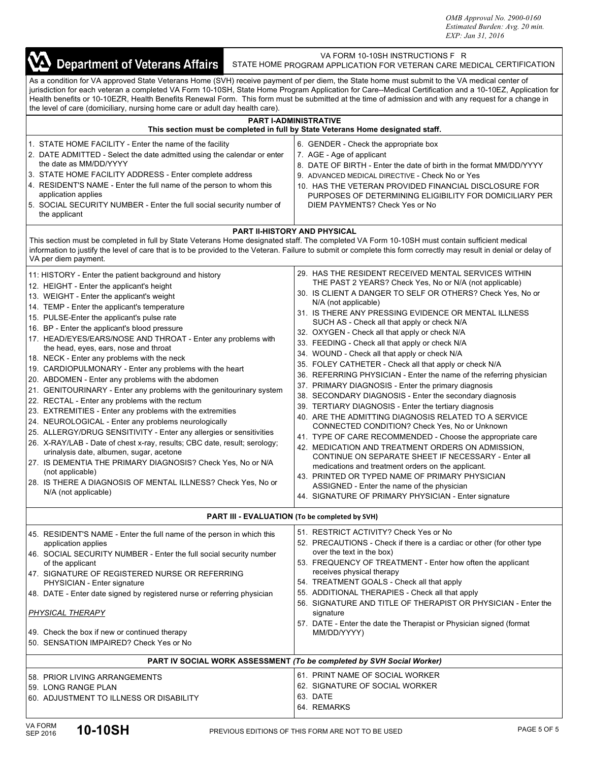*OMB Approval No. 2900-0160 Estimated Burden: Avg. 20 min. EXP: Jan 31, 2016*

| VA Department of Veterans Affairs                                                                                                                                                                                                                                                                                                                                                                                                                                                                                                                                                                                                                                                                                                                                                                                                                                                                                                                                                                                                                                                                                                                                                                  | VA FORM 10-10SH INSTRUCTIONS F R<br>STATE HOME PROGRAM APPLICATION FOR VETERAN CARE MEDICAL CERTIFICATION                                                                                                                                                                                                                                                                                                                                                                                                                                                                                                                                                                                                                                                                                                                                                                                                                                                                                                                                                                                                                                                                                                                                                                       |  |  |  |
|----------------------------------------------------------------------------------------------------------------------------------------------------------------------------------------------------------------------------------------------------------------------------------------------------------------------------------------------------------------------------------------------------------------------------------------------------------------------------------------------------------------------------------------------------------------------------------------------------------------------------------------------------------------------------------------------------------------------------------------------------------------------------------------------------------------------------------------------------------------------------------------------------------------------------------------------------------------------------------------------------------------------------------------------------------------------------------------------------------------------------------------------------------------------------------------------------|---------------------------------------------------------------------------------------------------------------------------------------------------------------------------------------------------------------------------------------------------------------------------------------------------------------------------------------------------------------------------------------------------------------------------------------------------------------------------------------------------------------------------------------------------------------------------------------------------------------------------------------------------------------------------------------------------------------------------------------------------------------------------------------------------------------------------------------------------------------------------------------------------------------------------------------------------------------------------------------------------------------------------------------------------------------------------------------------------------------------------------------------------------------------------------------------------------------------------------------------------------------------------------|--|--|--|
| As a condition for VA approved State Veterans Home (SVH) receive payment of per diem, the State home must submit to the VA medical center of<br>Health benefits or 10-10EZR, Health Benefits Renewal Form. This form must be submitted at the time of admission and with any request for a change in<br>the level of care (domiciliary, nursing home care or adult day health care).                                                                                                                                                                                                                                                                                                                                                                                                                                                                                                                                                                                                                                                                                                                                                                                                               | jurisdiction for each veteran a completed VA Form 10-10SH, State Home Program Application for Care--Medical Certification and a 10-10EZ, Application for                                                                                                                                                                                                                                                                                                                                                                                                                                                                                                                                                                                                                                                                                                                                                                                                                                                                                                                                                                                                                                                                                                                        |  |  |  |
|                                                                                                                                                                                                                                                                                                                                                                                                                                                                                                                                                                                                                                                                                                                                                                                                                                                                                                                                                                                                                                                                                                                                                                                                    | <b>PART I-ADMINISTRATIVE</b><br>This section must be completed in full by State Veterans Home designated staff.                                                                                                                                                                                                                                                                                                                                                                                                                                                                                                                                                                                                                                                                                                                                                                                                                                                                                                                                                                                                                                                                                                                                                                 |  |  |  |
| 1. STATE HOME FACILITY - Enter the name of the facility<br>2. DATE ADMITTED - Select the date admitted using the calendar or enter<br>the date as MM/DD/YYYY<br>3. STATE HOME FACILITY ADDRESS - Enter complete address<br>4. RESIDENT'S NAME - Enter the full name of the person to whom this<br>application applies<br>5. SOCIAL SECURITY NUMBER - Enter the full social security number of<br>the applicant                                                                                                                                                                                                                                                                                                                                                                                                                                                                                                                                                                                                                                                                                                                                                                                     | 6. GENDER - Check the appropriate box<br>7. AGE - Age of applicant<br>8. DATE OF BIRTH - Enter the date of birth in the format MM/DD/YYYY<br>9. ADVANCED MEDICAL DIRECTIVE - Check No or Yes<br>10. HAS THE VETERAN PROVIDED FINANCIAL DISCLOSURE FOR<br>PURPOSES OF DETERMINING ELIGIBILITY FOR DOMICILIARY PER<br>DIEM PAYMENTS? Check Yes or No                                                                                                                                                                                                                                                                                                                                                                                                                                                                                                                                                                                                                                                                                                                                                                                                                                                                                                                              |  |  |  |
|                                                                                                                                                                                                                                                                                                                                                                                                                                                                                                                                                                                                                                                                                                                                                                                                                                                                                                                                                                                                                                                                                                                                                                                                    | <b>PART II-HISTORY AND PHYSICAL</b>                                                                                                                                                                                                                                                                                                                                                                                                                                                                                                                                                                                                                                                                                                                                                                                                                                                                                                                                                                                                                                                                                                                                                                                                                                             |  |  |  |
| This section must be completed in full by State Veterans Home designated staff. The completed VA Form 10-10SH must contain sufficient medical<br>VA per diem payment.                                                                                                                                                                                                                                                                                                                                                                                                                                                                                                                                                                                                                                                                                                                                                                                                                                                                                                                                                                                                                              | information to justify the level of care that is to be provided to the Veteran. Failure to submit or complete this form correctly may result in denial or delay of                                                                                                                                                                                                                                                                                                                                                                                                                                                                                                                                                                                                                                                                                                                                                                                                                                                                                                                                                                                                                                                                                                              |  |  |  |
| 11: HISTORY - Enter the patient background and history<br>12. HEIGHT - Enter the applicant's height<br>13. WEIGHT - Enter the applicant's weight<br>14. TEMP - Enter the applicant's temperature<br>15. PULSE-Enter the applicant's pulse rate<br>16. BP - Enter the applicant's blood pressure<br>17. HEAD/EYES/EARS/NOSE AND THROAT - Enter any problems with<br>the head, eyes, ears, nose and throat<br>18. NECK - Enter any problems with the neck<br>19. CARDIOPULMONARY - Enter any problems with the heart<br>20. ABDOMEN - Enter any problems with the abdomen<br>21. GENITOURINARY - Enter any problems with the genitourinary system<br>22. RECTAL - Enter any problems with the rectum<br>23. EXTREMITIES - Enter any problems with the extremities<br>24. NEUROLOGICAL - Enter any problems neurologically<br>25. ALLERGY/DRUG SENSITIVITY - Enter any allergies or sensitivities<br>26. X-RAY/LAB - Date of chest x-ray, results; CBC date, result; serology;<br>urinalysis date, albumen, sugar, acetone<br>27. IS DEMENTIA THE PRIMARY DIAGNOSIS? Check Yes, No or N/A<br>(not applicable)<br>28. IS THERE A DIAGNOSIS OF MENTAL ILLNESS? Check Yes, No or<br>N/A (not applicable) | 29. HAS THE RESIDENT RECEIVED MENTAL SERVICES WITHIN<br>THE PAST 2 YEARS? Check Yes, No or N/A (not applicable)<br>30. IS CLIENT A DANGER TO SELF OR OTHERS? Check Yes, No or<br>N/A (not applicable)<br>31. IS THERE ANY PRESSING EVIDENCE OR MENTAL ILLNESS<br>SUCH AS - Check all that apply or check N/A<br>32. OXYGEN - Check all that apply or check N/A<br>33. FEEDING - Check all that apply or check N/A<br>34. WOUND - Check all that apply or check N/A<br>35. FOLEY CATHETER - Check all that apply or check N/A<br>36. REFERRING PHYSICIAN - Enter the name of the referring physician<br>37. PRIMARY DIAGNOSIS - Enter the primary diagnosis<br>38. SECONDARY DIAGNOSIS - Enter the secondary diagnosis<br>39. TERTIARY DIAGNOSIS - Enter the tertiary diagnosis<br>40. ARE THE ADMITTING DIAGNOSIS RELATED TO A SERVICE<br>CONNECTED CONDITION? Check Yes, No or Unknown<br>41. TYPE OF CARE RECOMMENDED - Choose the appropriate care<br>42. MEDICATION AND TREATMENT ORDERS ON ADMISSION,<br>CONTINUE ON SEPARATE SHEET IF NECESSARY - Enter all<br>medications and treatment orders on the applicant.<br>43. PRINTED OR TYPED NAME OF PRIMARY PHYSICIAN<br>ASSIGNED - Enter the name of the physician<br>44. SIGNATURE OF PRIMARY PHYSICIAN - Enter signature |  |  |  |
|                                                                                                                                                                                                                                                                                                                                                                                                                                                                                                                                                                                                                                                                                                                                                                                                                                                                                                                                                                                                                                                                                                                                                                                                    | PART III - EVALUATION (To be completed by SVH)                                                                                                                                                                                                                                                                                                                                                                                                                                                                                                                                                                                                                                                                                                                                                                                                                                                                                                                                                                                                                                                                                                                                                                                                                                  |  |  |  |
| 45. RESIDENT'S NAME - Enter the full name of the person in which this<br>application applies<br>46. SOCIAL SECURITY NUMBER - Enter the full social security number<br>of the applicant<br>47. SIGNATURE OF REGISTERED NURSE OR REFERRING<br>PHYSICIAN - Enter signature<br>48. DATE - Enter date signed by registered nurse or referring physician<br><b>PHYSICAL THERAPY</b>                                                                                                                                                                                                                                                                                                                                                                                                                                                                                                                                                                                                                                                                                                                                                                                                                      | 51. RESTRICT ACTIVITY? Check Yes or No<br>52. PRECAUTIONS - Check if there is a cardiac or other (for other type<br>over the text in the box)<br>53. FREQUENCY OF TREATMENT - Enter how often the applicant<br>receives physical therapy<br>54. TREATMENT GOALS - Check all that apply<br>55. ADDITIONAL THERAPIES - Check all that apply<br>56. SIGNATURE AND TITLE OF THERAPIST OR PHYSICIAN - Enter the<br>signature<br>57. DATE - Enter the date the Therapist or Physician signed (format                                                                                                                                                                                                                                                                                                                                                                                                                                                                                                                                                                                                                                                                                                                                                                                  |  |  |  |
| 49. Check the box if new or continued therapy<br>50. SENSATION IMPAIRED? Check Yes or No                                                                                                                                                                                                                                                                                                                                                                                                                                                                                                                                                                                                                                                                                                                                                                                                                                                                                                                                                                                                                                                                                                           | MM/DD/YYYY)                                                                                                                                                                                                                                                                                                                                                                                                                                                                                                                                                                                                                                                                                                                                                                                                                                                                                                                                                                                                                                                                                                                                                                                                                                                                     |  |  |  |
|                                                                                                                                                                                                                                                                                                                                                                                                                                                                                                                                                                                                                                                                                                                                                                                                                                                                                                                                                                                                                                                                                                                                                                                                    | PART IV SOCIAL WORK ASSESSMENT (To be completed by SVH Social Worker)                                                                                                                                                                                                                                                                                                                                                                                                                                                                                                                                                                                                                                                                                                                                                                                                                                                                                                                                                                                                                                                                                                                                                                                                           |  |  |  |
| 58. PRIOR LIVING ARRANGEMENTS<br>59. LONG RANGE PLAN<br>60. ADJUSTMENT TO ILLNESS OR DISABILITY                                                                                                                                                                                                                                                                                                                                                                                                                                                                                                                                                                                                                                                                                                                                                                                                                                                                                                                                                                                                                                                                                                    | 61. PRINT NAME OF SOCIAL WORKER<br>62. SIGNATURE OF SOCIAL WORKER<br>63. DATE<br>64. REMARKS                                                                                                                                                                                                                                                                                                                                                                                                                                                                                                                                                                                                                                                                                                                                                                                                                                                                                                                                                                                                                                                                                                                                                                                    |  |  |  |